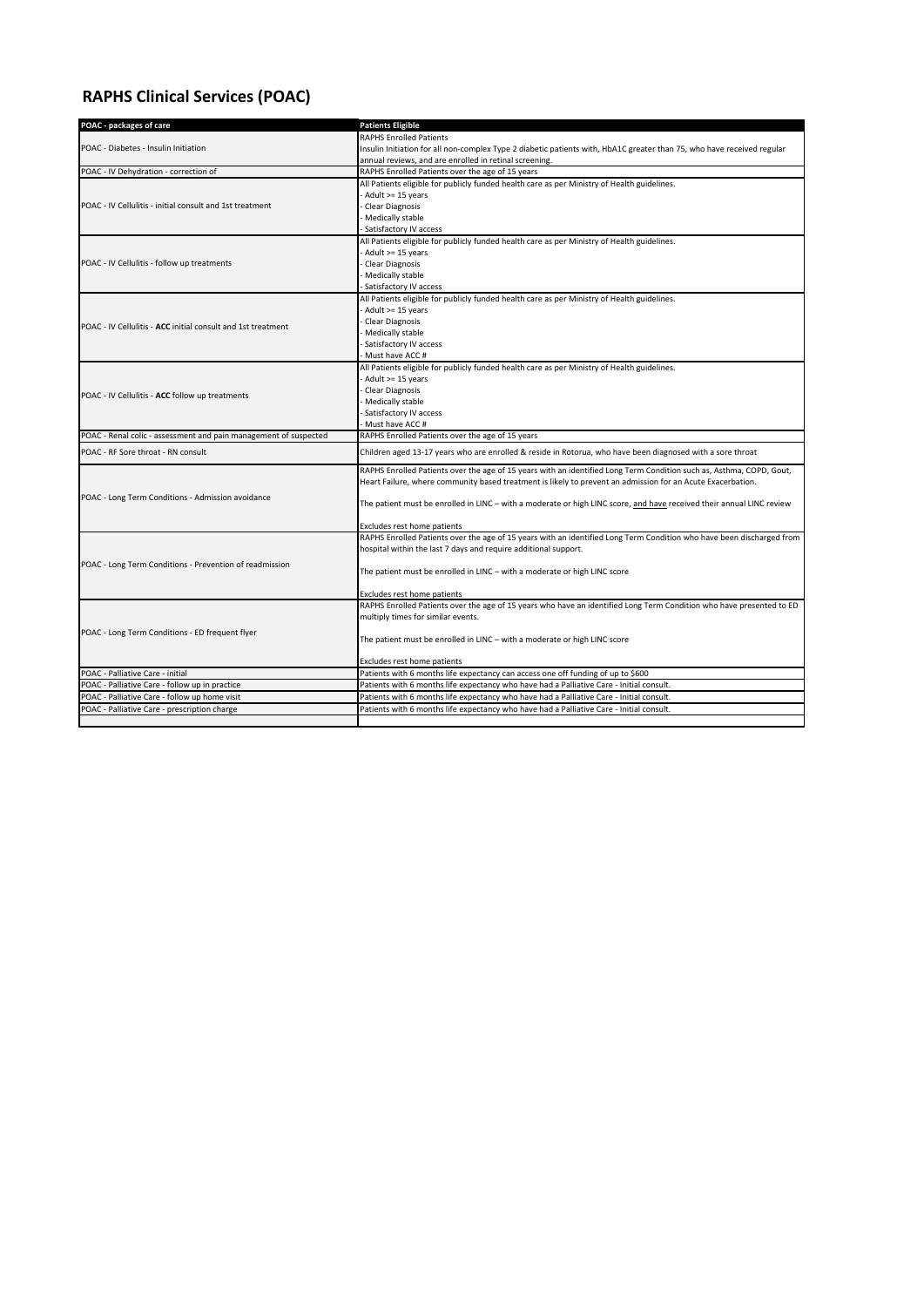## **RAPHS Clinical Services (POAC)**

| POAC - packages of care                                                                                     | <b>Patients Eligible</b>                                                                                               |
|-------------------------------------------------------------------------------------------------------------|------------------------------------------------------------------------------------------------------------------------|
| POAC - Diabetes - Insulin Initiation                                                                        | <b>RAPHS Enrolled Patients</b>                                                                                         |
|                                                                                                             | Insulin Initiation for all non-complex Type 2 diabetic patients with, HbA1C greater than 75, who have received regular |
|                                                                                                             | annual reviews, and are enrolled in retinal screening.                                                                 |
| POAC - IV Dehydration - correction of                                                                       | RAPHS Enrolled Patients over the age of 15 years                                                                       |
| POAC - IV Cellulitis - initial consult and 1st treatment                                                    | All Patients eligible for publicly funded health care as per Ministry of Health guidelines.                            |
|                                                                                                             | Adult >= 15 years                                                                                                      |
|                                                                                                             | Clear Diagnosis                                                                                                        |
|                                                                                                             | Medically stable                                                                                                       |
|                                                                                                             | Satisfactory IV access                                                                                                 |
| POAC - IV Cellulitis - follow up treatments<br>POAC - IV Cellulitis - ACC initial consult and 1st treatment | All Patients eligible for publicly funded health care as per Ministry of Health guidelines.                            |
|                                                                                                             | Adult >= 15 years                                                                                                      |
|                                                                                                             | Clear Diagnosis                                                                                                        |
|                                                                                                             | Medically stable                                                                                                       |
|                                                                                                             | <b>Satisfactory IV access</b>                                                                                          |
|                                                                                                             | All Patients eligible for publicly funded health care as per Ministry of Health guidelines.                            |
|                                                                                                             | - Adult >= 15 years                                                                                                    |
|                                                                                                             | <b>Clear Diagnosis</b>                                                                                                 |
|                                                                                                             | Medically stable                                                                                                       |
|                                                                                                             | Satisfactory IV access                                                                                                 |
|                                                                                                             | Must have ACC #                                                                                                        |
| POAC - IV Cellulitis - ACC follow up treatments                                                             | All Patients eligible for publicly funded health care as per Ministry of Health guidelines.                            |
|                                                                                                             | - Adult >= 15 years                                                                                                    |
|                                                                                                             | <b>Clear Diagnosis</b>                                                                                                 |
|                                                                                                             | Medically stable                                                                                                       |
|                                                                                                             | Satisfactory IV access                                                                                                 |
|                                                                                                             | - Must have ACC #                                                                                                      |
| POAC - Renal colic - assessment and pain management of suspected                                            | RAPHS Enrolled Patients over the age of 15 years                                                                       |
| POAC - RF Sore throat - RN consult                                                                          | Children aged 13-17 years who are enrolled & reside in Rotorua, who have been diagnosed with a sore throat             |
|                                                                                                             | RAPHS Enrolled Patients over the age of 15 years with an identified Long Term Condition such as, Asthma, COPD, Gout,   |
|                                                                                                             | Heart Failure, where community based treatment is likely to prevent an admission for an Acute Exacerbation.            |
| POAC - Long Term Conditions - Admission avoidance                                                           |                                                                                                                        |
|                                                                                                             | The patient must be enrolled in LINC – with a moderate or high LINC score, and have received their annual LINC review  |
|                                                                                                             |                                                                                                                        |
|                                                                                                             | Excludes rest home patients                                                                                            |
|                                                                                                             | RAPHS Enrolled Patients over the age of 15 years with an identified Long Term Condition who have been discharged from  |
|                                                                                                             | hospital within the last 7 days and require additional support.                                                        |
| POAC - Long Term Conditions - Prevention of readmission                                                     | The patient must be enrolled in LINC - with a moderate or high LINC score                                              |
|                                                                                                             | Excludes rest home patients                                                                                            |
|                                                                                                             | RAPHS Enrolled Patients over the age of 15 years who have an identified Long Term Condition who have presented to ED   |
|                                                                                                             | multiply times for similar events.                                                                                     |
|                                                                                                             |                                                                                                                        |
| POAC - Long Term Conditions - ED frequent flyer                                                             | The patient must be enrolled in LINC - with a moderate or high LINC score                                              |
|                                                                                                             |                                                                                                                        |
|                                                                                                             | <b>Excludes rest home patients</b>                                                                                     |
| POAC - Palliative Care - initial                                                                            | Patients with 6 months life expectancy can access one off funding of up to \$600                                       |
| POAC - Palliative Care - follow up in practice                                                              | Patients with 6 months life expectancy who have had a Palliative Care - Initial consult.                               |
| POAC - Palliative Care - follow up home visit                                                               | Patients with 6 months life expectancy who have had a Palliative Care - Initial consult.                               |
| POAC - Palliative Care - prescription charge                                                                | Patients with 6 months life expectancy who have had a Palliative Care - Initial consult.                               |